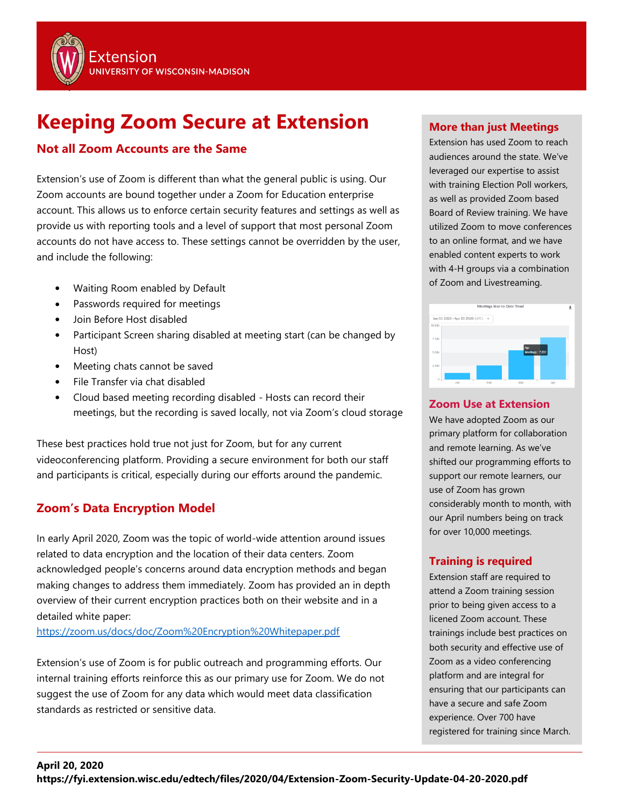

# **Keeping Zoom Secure at Extension**

# **Not all Zoom Accounts are the Same**

Extension's use of Zoom is different than what the general public is using. Our Zoom accounts are bound together under a Zoom for Education enterprise account. This allows us to enforce certain security features and settings as well as provide us with reporting tools and a level of support that most personal Zoom accounts do not have access to. These settings cannot be overridden by the user, and include the following:

- Waiting Room enabled by Default
- Passwords required for meetings
- Join Before Host disabled
- Participant Screen sharing disabled at meeting start (can be changed by Host)
- Meeting chats cannot be saved
- File Transfer via chat disabled
- Cloud based meeting recording disabled Hosts can record their meetings, but the recording is saved locally, not via Zoom's cloud storage

These best practices hold true not just for Zoom, but for any current videoconferencing platform. Providing a secure environment for both our staff and participants is critical, especially during our efforts around the pandemic.

# **Zoom's Data Encryption Model**

In early April 2020, Zoom was the topic of world-wide attention around issues related to data encryption and the location of their data centers. Zoom acknowledged people's concerns around data encryption methods and began making changes to address them immediately. Zoom has provided an in depth overview of their current encryption practices both on their website and in a detailed white paper:

<https://zoom.us/docs/doc/Zoom%20Encryption%20Whitepaper.pdf>

Extension's use of Zoom is for public outreach and programming efforts. Our internal training efforts reinforce this as our primary use for Zoom. We do not suggest the use of Zoom for any data which would meet data classification standards as restricted or sensitive data.

## **More than just Meetings**

Extension has used Zoom to reach audiences around the state. We've leveraged our expertise to assist with training Election Poll workers, as well as provided Zoom based Board of Review training. We have utilized Zoom to move conferences to an online format, and we have enabled content experts to work with 4-H groups via a combination of Zoom and Livestreaming.



## **Zoom Use at Extension**

We have adopted Zoom as our primary platform for collaboration and remote learning. As we've shifted our programming efforts to support our remote learners, our use of Zoom has grown considerably month to month, with our April numbers being on track for over 10,000 meetings.

# **Training is required**

Extension staff are required to attend a Zoom training session prior to being given access to a licened Zoom account. These trainings include best practices on both security and effective use of Zoom as a video conferencing platform and are integral for ensuring that our participants can have a secure and safe Zoom experience. Over 700 have registered for training since March.